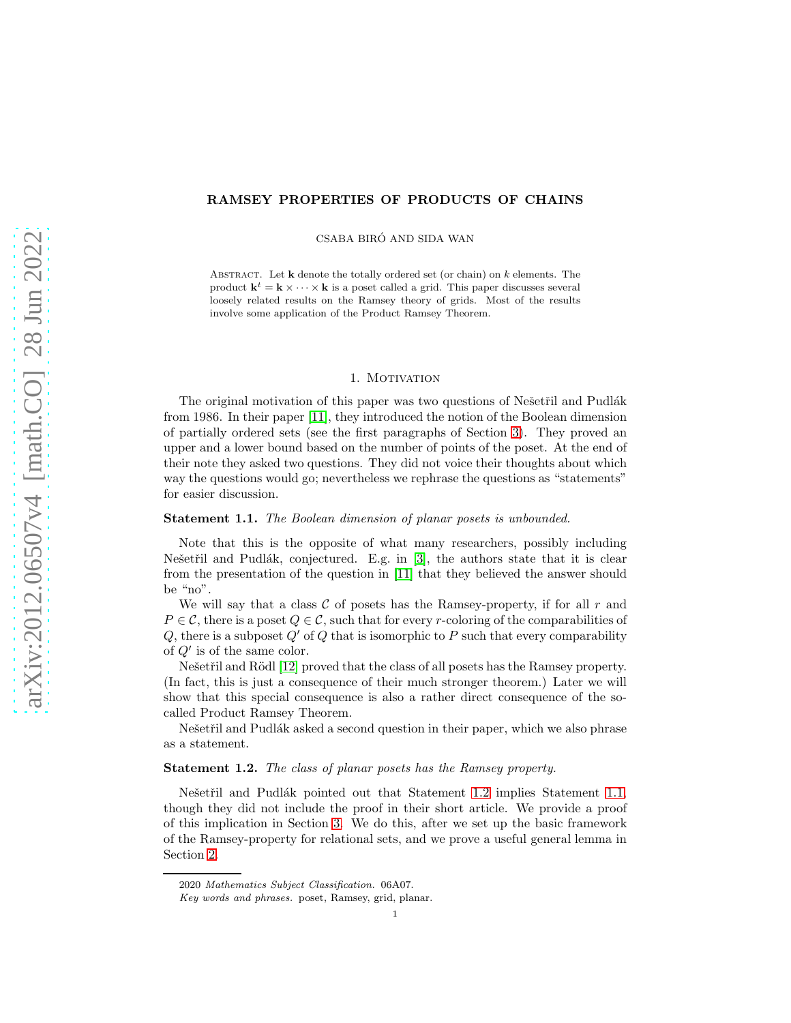## RAMSEY PROPERTIES OF PRODUCTS OF CHAINS

CSABA BIRÓ AND SIDA WAN

ABSTRACT. Let  $k$  denote the totally ordered set (or chain) on  $k$  elements. The product  $\mathbf{k}^t = \mathbf{k} \times \cdots \times \mathbf{k}$  is a poset called a grid. This paper discusses several loosely related results on the Ramsey theory of grids. Most of the results involve some application of the Product Ramsey Theorem.

#### 1. MOTIVATION

The original motivation of this paper was two questions of Ne $\check{\rm set}$  and Pudlák from 1986. In their paper [\[11\]](#page-12-0), they introduced the notion of the Boolean dimension of partially ordered sets (see the first paragraphs of Section [3\)](#page-3-0). They proved an upper and a lower bound based on the number of points of the poset. At the end of their note they asked two questions. They did not voice their thoughts about which way the questions would go; nevertheless we rephrase the questions as "statements" for easier discussion.

### <span id="page-0-1"></span>Statement 1.1. The Boolean dimension of planar posets is unbounded.

Note that this is the opposite of what many researchers, possibly including Nešetřil and Pudlák, conjectured. E.g. in  $[3]$ , the authors state that it is clear from the presentation of the question in [\[11\]](#page-12-0) that they believed the answer should be "no".

We will say that a class  $\mathcal C$  of posets has the Ramsey-property, if for all  $r$  and  $P \in \mathcal{C}$ , there is a poset  $Q \in \mathcal{C}$ , such that for every r-coloring of the comparabilities of  $Q$ , there is a subposet  $Q'$  of  $Q$  that is isomorphic to P such that every comparability of  $Q'$  is of the same color.

Nešetřil and Rödl [\[12\]](#page-12-2) proved that the class of all posets has the Ramsey property. (In fact, this is just a consequence of their much stronger theorem.) Later we will show that this special consequence is also a rather direct consequence of the socalled Product Ramsey Theorem.

Nešetřil and Pudlák asked a second question in their paper, which we also phrase as a statement.

### <span id="page-0-0"></span>Statement 1.2. The class of planar posets has the Ramsey property.

Nešetřil and Pudlák pointed out that Statement [1.2](#page-0-0) implies Statement [1.1,](#page-0-1) though they did not include the proof in their short article. We provide a proof of this implication in Section [3.](#page-3-0) We do this, after we set up the basic framework of the Ramsey-property for relational sets, and we prove a useful general lemma in Section [2.](#page-1-0)

<sup>2020</sup> *Mathematics Subject Classification.* 06A07.

*Key words and phrases.* poset, Ramsey, grid, planar.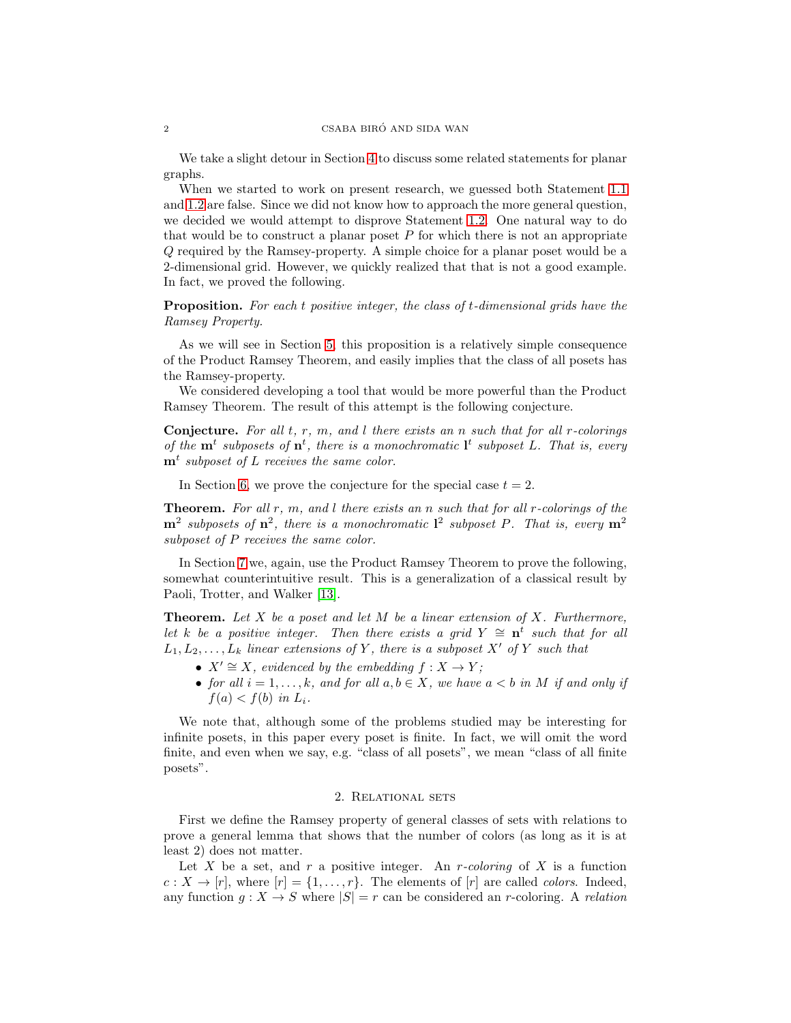We take a slight detour in Section [4](#page-3-1) to discuss some related statements for planar graphs.

When we started to work on present research, we guessed both Statement [1.1](#page-0-1) and [1.2](#page-0-0) are false. Since we did not know how to approach the more general question, we decided we would attempt to disprove Statement [1.2.](#page-0-0) One natural way to do that would be to construct a planar poset  $P$  for which there is not an appropriate Q required by the Ramsey-property. A simple choice for a planar poset would be a 2-dimensional grid. However, we quickly realized that that is not a good example. In fact, we proved the following.

**Proposition.** For each t positive integer, the class of t-dimensional grids have the Ramsey Property.

As we will see in Section [5,](#page-4-0) this proposition is a relatively simple consequence of the Product Ramsey Theorem, and easily implies that the class of all posets has the Ramsey-property.

We considered developing a tool that would be more powerful than the Product Ramsey Theorem. The result of this attempt is the following conjecture.

**Conjecture.** For all  $t, r, m,$  and  $l$  there exists an  $n$  such that for all  $r$ -colorings of the  $\mathbf{m}^t$  subposets of  $\mathbf{n}^t$ , there is a monochromatic  $\mathbf{l}^t$  subposet L. That is, every  $\mathbf{m}^t$  subposet of L receives the same color.

In Section [6,](#page-6-0) we prove the conjecture for the special case  $t = 2$ .

**Theorem.** For all r, m, and l there exists an n such that for all r-colorings of the  $m^2$  subposets of  $n^2$ , there is a monochromatic  $l^2$  subposet P. That is, every  $m^2$ subposet of P receives the same color.

In Section [7](#page-9-0) we, again, use the Product Ramsey Theorem to prove the following, somewhat counterintuitive result. This is a generalization of a classical result by Paoli, Trotter, and Walker [\[13\]](#page-12-3).

**Theorem.** Let  $X$  be a poset and let  $M$  be a linear extension of  $X$ . Furthermore, let k be a positive integer. Then there exists a grid  $Y \cong n^t$  such that for all  $L_1, L_2, \ldots, L_k$  linear extensions of Y, there is a subposet X' of Y such that

- $X' \cong X$ , evidenced by the embedding  $f : X \to Y$ ;
- for all  $i = 1, ..., k$ , and for all  $a, b \in X$ , we have  $a < b$  in M if and only if  $f(a) < f(b)$  in  $L_i$ .

We note that, although some of the problems studied may be interesting for infinite posets, in this paper every poset is finite. In fact, we will omit the word finite, and even when we say, e.g. "class of all posets", we mean "class of all finite posets".

#### 2. Relational sets

<span id="page-1-0"></span>First we define the Ramsey property of general classes of sets with relations to prove a general lemma that shows that the number of colors (as long as it is at least 2) does not matter.

Let X be a set, and r a positive integer. An r-coloring of X is a function  $c: X \to [r]$ , where  $[r] = \{1, \ldots, r\}$ . The elements of  $[r]$  are called *colors*. Indeed, any function  $g: X \to S$  where  $|S| = r$  can be considered an r-coloring. A relation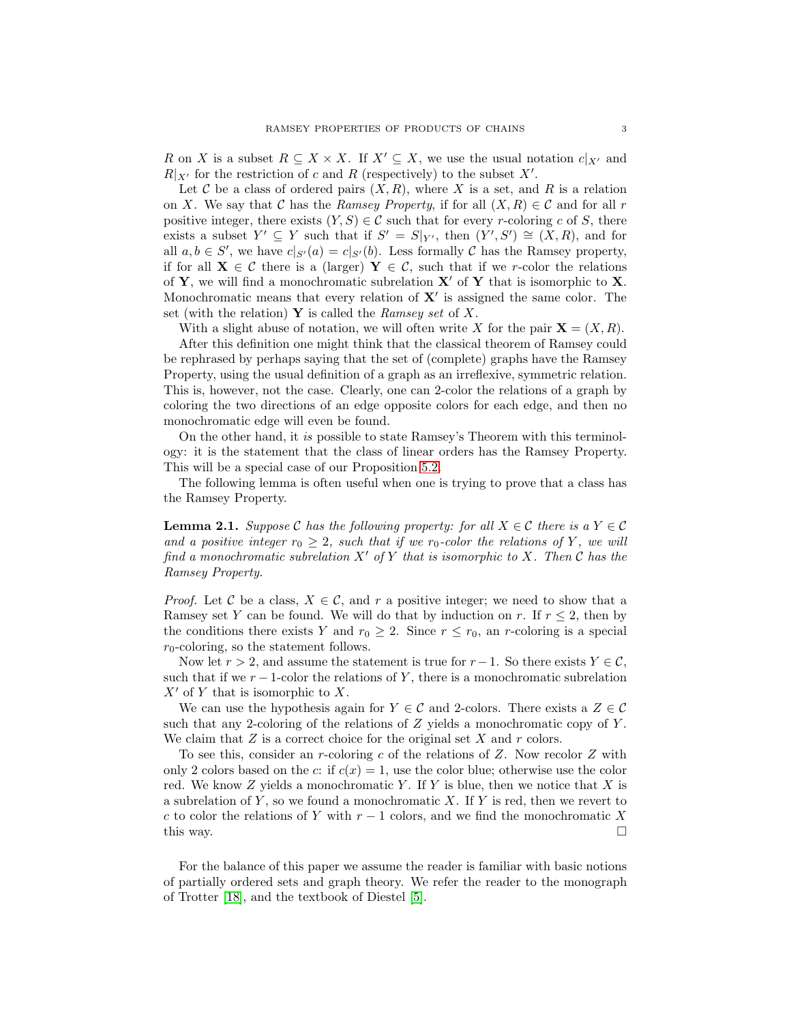R on X is a subset  $R \subseteq X \times X$ . If  $X' \subseteq X$ , we use the usual notation  $c|_{X'}$  and  $R|_{X'}$  for the restriction of c and R (respectively) to the subset X'.

Let C be a class of ordered pairs  $(X, R)$ , where X is a set, and R is a relation on X. We say that C has the Ramsey Property, if for all  $(X, R) \in \mathcal{C}$  and for all r positive integer, there exists  $(Y, S) \in \mathcal{C}$  such that for every r-coloring c of S, there exists a subset  $Y' \subseteq Y$  such that if  $S' = S|_{Y'}$ , then  $(Y', S') \cong (X, R)$ , and for all  $a, b \in S'$ , we have  $c|_{S'}(a) = c|_{S'}(b)$ . Less formally C has the Ramsey property, if for all  $X \in \mathcal{C}$  there is a (larger)  $Y \in \mathcal{C}$ , such that if we r-color the relations of Y, we will find a monochromatic subrelation  $X'$  of Y that is isomorphic to X. Monochromatic means that every relation of  $X'$  is assigned the same color. The set (with the relation) Y is called the Ramsey set of X.

With a slight abuse of notation, we will often write X for the pair  $\mathbf{X} = (X, R)$ . After this definition one might think that the classical theorem of Ramsey could be rephrased by perhaps saying that the set of (complete) graphs have the Ramsey Property, using the usual definition of a graph as an irreflexive, symmetric relation. This is, however, not the case. Clearly, one can 2-color the relations of a graph by coloring the two directions of an edge opposite colors for each edge, and then no monochromatic edge will even be found.

On the other hand, it is possible to state Ramsey's Theorem with this terminology: it is the statement that the class of linear orders has the Ramsey Property. This will be a special case of our Proposition [5.2.](#page-5-0)

The following lemma is often useful when one is trying to prove that a class has the Ramsey Property.

**Lemma 2.1.** Suppose C has the following property: for all  $X \in \mathcal{C}$  there is a  $Y \in \mathcal{C}$ and a positive integer  $r_0 \geq 2$ , such that if we  $r_0$ -color the relations of Y, we will find a monochromatic subrelation  $X'$  of Y that is isomorphic to X. Then C has the Ramsey Property.

*Proof.* Let C be a class,  $X \in \mathcal{C}$ , and r a positive integer; we need to show that a Ramsey set Y can be found. We will do that by induction on r. If  $r \leq 2$ , then by the conditions there exists Y and  $r_0 \geq 2$ . Since  $r \leq r_0$ , an r-coloring is a special  $r_0$ -coloring, so the statement follows.

Now let  $r > 2$ , and assume the statement is true for  $r-1$ . So there exists  $Y \in \mathcal{C}$ , such that if we  $r-1$ -color the relations of Y, there is a monochromatic subrelation  $X'$  of Y that is isomorphic to X.

We can use the hypothesis again for  $Y \in \mathcal{C}$  and 2-colors. There exists a  $Z \in \mathcal{C}$ such that any 2-coloring of the relations of  $Z$  yields a monochromatic copy of  $Y$ . We claim that  $Z$  is a correct choice for the original set  $X$  and  $r$  colors.

To see this, consider an r-coloring  $c$  of the relations of  $Z$ . Now recolor  $Z$  with only 2 colors based on the c: if  $c(x) = 1$ , use the color blue; otherwise use the color red. We know  $Z$  yields a monochromatic Y. If Y is blue, then we notice that  $X$  is a subrelation of  $Y$ , so we found a monochromatic X. If Y is red, then we revert to c to color the relations of Y with  $r-1$  colors, and we find the monochromatic X this way.  $\Box$ 

For the balance of this paper we assume the reader is familiar with basic notions of partially ordered sets and graph theory. We refer the reader to the monograph of Trotter [\[18\]](#page-12-4), and the textbook of Diestel [\[5\]](#page-12-5).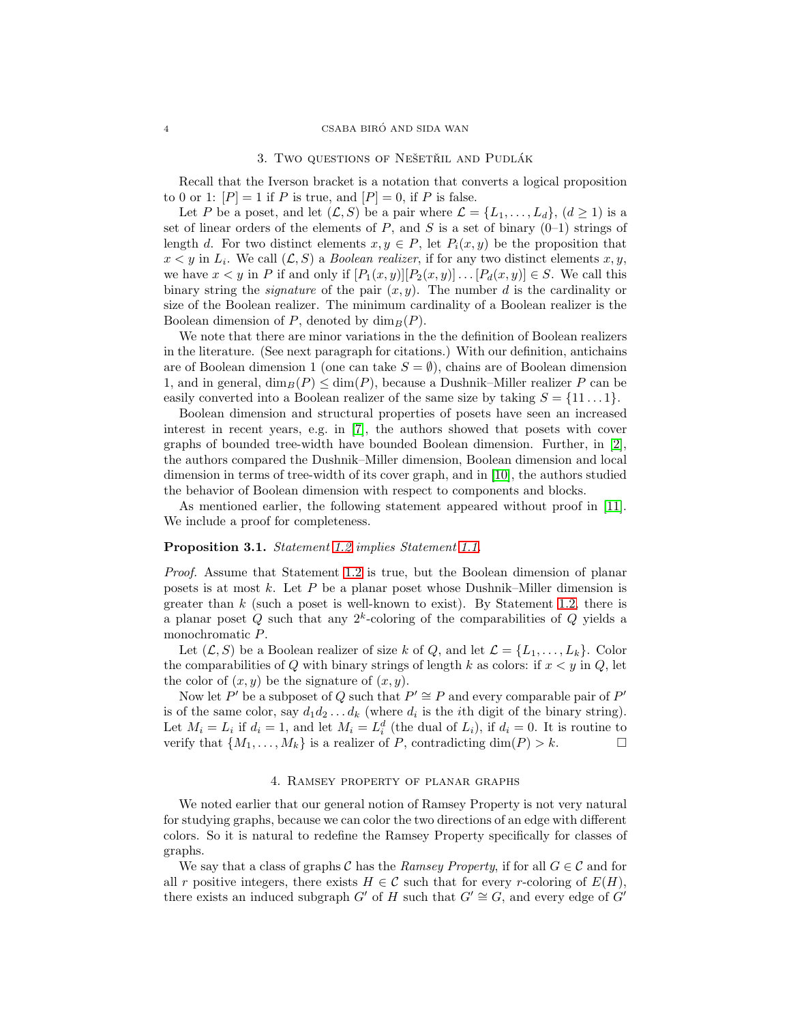#### 3. Two questions of Nešetřil and Pudlák

<span id="page-3-0"></span>Recall that the Iverson bracket is a notation that converts a logical proposition to 0 or 1:  $[P] = 1$  if P is true, and  $[P] = 0$ , if P is false.

Let P be a poset, and let  $(\mathcal{L}, S)$  be a pair where  $\mathcal{L} = \{L_1, \ldots, L_d\}, (d \geq 1)$  is a set of linear orders of the elements of  $P$ , and  $S$  is a set of binary  $(0-1)$  strings of length d. For two distinct elements  $x, y \in P$ , let  $P_i(x, y)$  be the proposition that  $x < y$  in  $L_i$ . We call  $(L, S)$  a *Boolean realizer*, if for any two distinct elements x, y, we have  $x < y$  in P if and only if  $[P_1(x, y)][P_2(x, y)] \dots [P_d(x, y)] \in S$ . We call this binary string the *signature* of the pair  $(x, y)$ . The number d is the cardinality or size of the Boolean realizer. The minimum cardinality of a Boolean realizer is the Boolean dimension of P, denoted by  $\dim_B(P)$ .

We note that there are minor variations in the the definition of Boolean realizers in the literature. (See next paragraph for citations.) With our definition, antichains are of Boolean dimension 1 (one can take  $S = \emptyset$ ), chains are of Boolean dimension 1, and in general,  $\dim_B(P) \leq \dim(P)$ , because a Dushnik–Miller realizer P can be easily converted into a Boolean realizer of the same size by taking  $S = \{11 \dots 1\}$ .

Boolean dimension and structural properties of posets have seen an increased interest in recent years, e.g. in [\[7\]](#page-12-6), the authors showed that posets with cover graphs of bounded tree-width have bounded Boolean dimension. Further, in [\[2\]](#page-12-7), the authors compared the Dushnik–Miller dimension, Boolean dimension and local dimension in terms of tree-width of its cover graph, and in [\[10\]](#page-12-8), the authors studied the behavior of Boolean dimension with respect to components and blocks.

As mentioned earlier, the following statement appeared without proof in [\[11\]](#page-12-0). We include a proof for completeness.

# Proposition 3.1. Statement [1.2](#page-0-0) implies Statement [1.1.](#page-0-1)

Proof. Assume that Statement [1.2](#page-0-0) is true, but the Boolean dimension of planar posets is at most  $k$ . Let  $P$  be a planar poset whose Dushnik–Miller dimension is greater than  $k$  (such a poset is well-known to exist). By Statement [1.2,](#page-0-0) there is a planar poset Q such that any  $2^k$ -coloring of the comparabilities of Q yields a monochromatic P.

Let  $(\mathcal{L}, S)$  be a Boolean realizer of size k of Q, and let  $\mathcal{L} = \{L_1, \ldots, L_k\}$ . Color the comparabilities of  $Q$  with binary strings of length  $k$  as colors: if  $x < y$  in  $Q$ , let the color of  $(x, y)$  be the signature of  $(x, y)$ .

Now let P' be a subposet of Q such that  $P' \cong P$  and every comparable pair of P' is of the same color, say  $d_1 d_2 \ldots d_k$  (where  $d_i$  is the *i*th digit of the binary string). Let  $M_i = L_i$  if  $d_i = 1$ , and let  $M_i = L_i^d$  (the dual of  $L_i$ ), if  $d_i = 0$ . It is routine to verify that  $\{M_1, \ldots, M_k\}$  is a realizer of P, contradicting  $\dim(P) > k$ .

### 4. Ramsey property of planar graphs

<span id="page-3-1"></span>We noted earlier that our general notion of Ramsey Property is not very natural for studying graphs, because we can color the two directions of an edge with different colors. So it is natural to redefine the Ramsey Property specifically for classes of graphs.

We say that a class of graphs C has the Ramsey Property, if for all  $G \in \mathcal{C}$  and for all r positive integers, there exists  $H \in \mathcal{C}$  such that for every r-coloring of  $E(H)$ , there exists an induced subgraph G' of H such that  $G' \cong G$ , and every edge of G'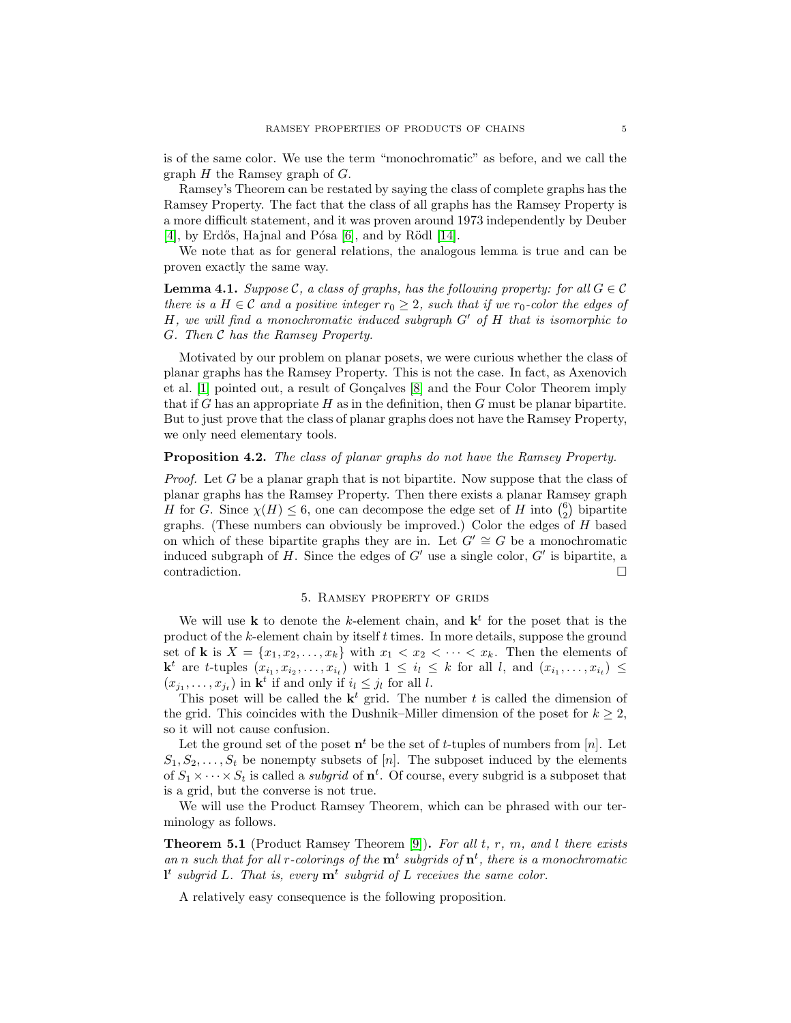is of the same color. We use the term "monochromatic" as before, and we call the graph  $H$  the Ramsey graph of  $G$ .

Ramsey's Theorem can be restated by saying the class of complete graphs has the Ramsey Property. The fact that the class of all graphs has the Ramsey Property is a more difficult statement, and it was proven around 1973 independently by Deuber [\[4\]](#page-12-9), by Erdős, Hajnal and Pósa  $[6]$ , and by Rödl  $[14]$ .

We note that as for general relations, the analogous lemma is true and can be proven exactly the same way.

**Lemma 4.1.** Suppose C, a class of graphs, has the following property: for all  $G \in \mathcal{C}$ there is a  $H \in \mathcal{C}$  and a positive integer  $r_0 \geq 2$ , such that if we  $r_0$ -color the edges of H, we will find a monochromatic induced subgraph  $G'$  of  $H$  that is isomorphic to G. Then C has the Ramsey Property.

Motivated by our problem on planar posets, we were curious whether the class of planar graphs has the Ramsey Property. This is not the case. In fact, as Axenovich et al. [\[1\]](#page-12-12) pointed out, a result of Gonçalves [\[8\]](#page-12-13) and the Four Color Theorem imply that if G has an appropriate  $H$  as in the definition, then  $G$  must be planar bipartite. But to just prove that the class of planar graphs does not have the Ramsey Property, we only need elementary tools.

## Proposition 4.2. The class of planar graphs do not have the Ramsey Property.

Proof. Let G be a planar graph that is not bipartite. Now suppose that the class of planar graphs has the Ramsey Property. Then there exists a planar Ramsey graph H for G. Since  $\chi(H) \leq 6$ , one can decompose the edge set of H into  $\binom{6}{2}$  bipartite graphs. (These numbers can obviously be improved.) Color the edges of H based on which of these bipartite graphs they are in. Let  $G' \cong G$  be a monochromatic induced subgraph of H. Since the edges of  $G'$  use a single color,  $G'$  is bipartite, a contradiction.

# 5. Ramsey property of grids

<span id="page-4-0"></span>We will use **k** to denote the k-element chain, and  $\mathbf{k}^t$  for the poset that is the product of the k-element chain by itself  $t$  times. In more details, suppose the ground set of **k** is  $X = \{x_1, x_2, \ldots, x_k\}$  with  $x_1 < x_2 < \cdots < x_k$ . Then the elements of  $\mathbf{k}^t$  are t-tuples  $(x_{i_1}, x_{i_2}, \ldots, x_{i_t})$  with  $1 \leq i_l \leq k$  for all l, and  $(x_{i_1}, \ldots, x_{i_t}) \leq$  $(x_{j_1},\ldots,x_{j_t})$  in  $\mathbf{k}^t$  if and only if  $i_l \leq j_l$  for all l.

This poset will be called the  $\mathbf{k}^t$  grid. The number t is called the dimension of the grid. This coincides with the Dushnik–Miller dimension of the poset for  $k \geq 2$ , so it will not cause confusion.

Let the ground set of the poset  $\mathbf{n}^t$  be the set of t-tuples of numbers from [n]. Let  $S_1, S_2, \ldots, S_t$  be nonempty subsets of [n]. The subposet induced by the elements of  $S_1 \times \cdots \times S_t$  is called a *subgrid* of  $\mathbf{n}^t$ . Of course, every subgrid is a subposet that is a grid, but the converse is not true.

We will use the Product Ramsey Theorem, which can be phrased with our terminology as follows.

**Theorem 5.1** (Product Ramsey Theorem [\[9\]](#page-12-14)). For all  $t, r, m$ , and  $l$  there exists an n such that for all r-colorings of the  $\mathbf{m}^t$  subgrids of  $\mathbf{n}^t$ , there is a monochromatic  $\mathbf{l}^t$  subgrid L. That is, every  $\mathbf{m}^t$  subgrid of L receives the same color.

A relatively easy consequence is the following proposition.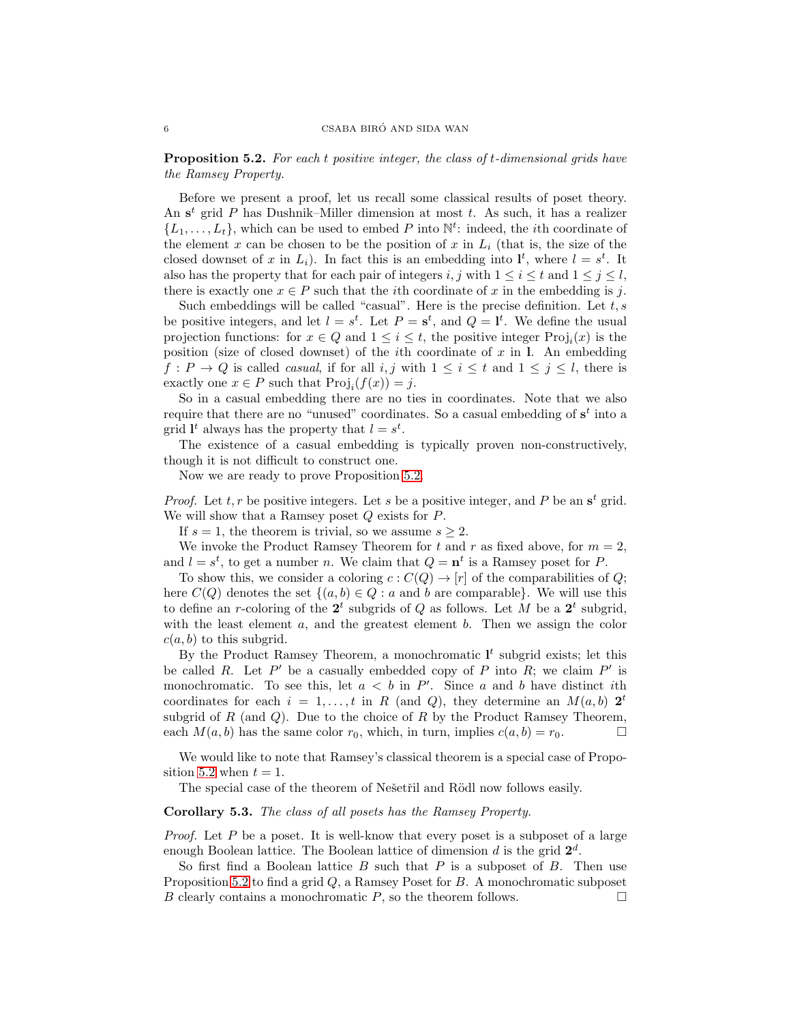<span id="page-5-0"></span>**Proposition 5.2.** For each t positive integer, the class of t-dimensional grids have the Ramsey Property.

Before we present a proof, let us recall some classical results of poset theory. An  $s^t$  grid P has Dushnik–Miller dimension at most t. As such, it has a realizer  $\{L_1, \ldots, L_t\}$ , which can be used to embed P into  $\mathbb{N}^t$ : indeed, the *i*th coordinate of the element x can be chosen to be the position of x in  $L_i$  (that is, the size of the closed downset of x in  $L_i$ ). In fact this is an embedding into  $\mathbf{l}^t$ , where  $l = s^t$ . It also has the property that for each pair of integers i, j with  $1 \leq i \leq t$  and  $1 \leq j \leq l$ , there is exactly one  $x \in P$  such that the *i*th coordinate of x in the embedding is j.

Such embeddings will be called "casual". Here is the precise definition. Let  $t, s$ be positive integers, and let  $l = s^t$ . Let  $P = s^t$ , and  $Q = l^t$ . We define the usual projection functions: for  $x \in Q$  and  $1 \leq i \leq t$ , the positive integer  $\text{Proj}_i(x)$  is the position (size of closed downset) of the *i*th coordinate of  $x$  in l. An embedding  $f: P \to Q$  is called *casual*, if for all i, j with  $1 \leq i \leq t$  and  $1 \leq j \leq l$ , there is exactly one  $x \in P$  such that  $\text{Proj}_i(f(x)) = j$ .

So in a casual embedding there are no ties in coordinates. Note that we also require that there are no "unused" coordinates. So a casual embedding of  $s<sup>t</sup>$  into a grid  $\mathbf{l}^t$  always has the property that  $l = s^t$ .

The existence of a casual embedding is typically proven non-constructively, though it is not difficult to construct one.

Now we are ready to prove Proposition [5.2.](#page-5-0)

*Proof.* Let  $t, r$  be positive integers. Let s be a positive integer, and P be an  $s<sup>t</sup>$  grid. We will show that a Ramsey poset  $Q$  exists for  $P$ .

If  $s = 1$ , the theorem is trivial, so we assume  $s \geq 2$ .

We invoke the Product Ramsey Theorem for t and r as fixed above, for  $m = 2$ , and  $l = s^t$ , to get a number n. We claim that  $Q = n^t$  is a Ramsey poset for P.

To show this, we consider a coloring  $c: C(Q) \to [r]$  of the comparabilities of Q; here  $C(Q)$  denotes the set  $\{(a, b) \in Q : a \text{ and } b \text{ are comparable}\}\.$  We will use this to define an r-coloring of the  $2^t$  subgrids of Q as follows. Let M be a  $2^t$  subgrid, with the least element  $a$ , and the greatest element  $b$ . Then we assign the color  $c(a, b)$  to this subgrid.

By the Product Ramsey Theorem, a monochromatic  $I<sup>t</sup>$  subgrid exists; let this be called R. Let P' be a casually embedded copy of P into R; we claim P' is monochromatic. To see this, let  $a < b$  in P'. Since a and b have distinct ith coordinates for each  $i = 1, ..., t$  in R (and Q), they determine an  $M(a, b)$  2<sup>t</sup> subgrid of R (and  $Q$ ). Due to the choice of R by the Product Ramsey Theorem, each  $M(a, b)$  has the same color  $r_0$ , which, in turn, implies  $c(a, b) = r_0$ .

We would like to note that Ramsey's classical theorem is a special case of Propo-sition [5.2](#page-5-0) when  $t = 1$ .

The special case of the theorem of Nešetřil and Rödl now follows easily.

## Corollary 5.3. The class of all posets has the Ramsey Property.

*Proof.* Let P be a poset. It is well-know that every poset is a subposet of a large enough Boolean lattice. The Boolean lattice of dimension  $d$  is the grid  $2^d$ .

So first find a Boolean lattice  $B$  such that  $P$  is a subposet of  $B$ . Then use Proposition [5.2](#page-5-0) to find a grid Q, a Ramsey Poset for B. A monochromatic subposet B clearly contains a monochromatic  $P$ , so the theorem follows.  $\Box$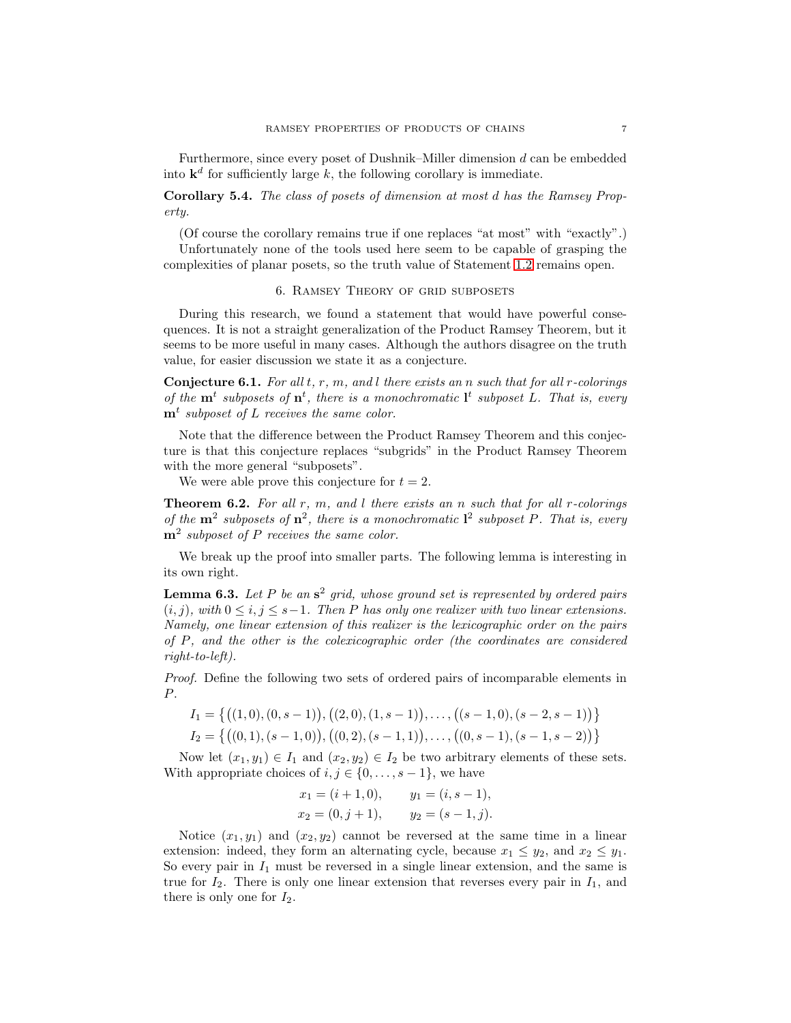Furthermore, since every poset of Dushnik–Miller dimension  $d$  can be embedded into  $\mathbf{k}^d$  for sufficiently large k, the following corollary is immediate.

Corollary 5.4. The class of posets of dimension at most d has the Ramsey Property.

(Of course the corollary remains true if one replaces "at most" with "exactly".) Unfortunately none of the tools used here seem to be capable of grasping the complexities of planar posets, so the truth value of Statement [1.2](#page-0-0) remains open.

### 6. Ramsey Theory of grid subposets

<span id="page-6-0"></span>During this research, we found a statement that would have powerful consequences. It is not a straight generalization of the Product Ramsey Theorem, but it seems to be more useful in many cases. Although the authors disagree on the truth value, for easier discussion we state it as a conjecture.

**Conjecture 6.1.** For all  $t, r, m$ , and  $l$  there exists an n such that for all  $r$ -colorings of the  $\mathbf{m}^t$  subposets of  $\mathbf{n}^t$ , there is a monochromatic  $\mathbf{l}^t$  subposet L. That is, every  $\mathbf{m}^t$  subposet of L receives the same color.

Note that the difference between the Product Ramsey Theorem and this conjecture is that this conjecture replaces "subgrids" in the Product Ramsey Theorem with the more general "subposets".

We were able prove this conjecture for  $t = 2$ .

<span id="page-6-1"></span>**Theorem 6.2.** For all  $r$ ,  $m$ , and  $l$  there exists an  $n$  such that for all  $r$ -colorings of the  $m^2$  subposets of  $n^2$ , there is a monochromatic  $l^2$  subposet P. That is, every  $m^2$  subposet of P receives the same color.

We break up the proof into smaller parts. The following lemma is interesting in its own right.

<span id="page-6-2"></span>**Lemma 6.3.** Let P be an  $s^2$  grid, whose ground set is represented by ordered pairs  $(i, j)$ , with  $0 \le i, j \le s-1$ . Then P has only one realizer with two linear extensions. Namely, one linear extension of this realizer is the lexicographic order on the pairs of P, and the other is the colexicographic order (the coordinates are considered right-to-left).

Proof. Define the following two sets of ordered pairs of incomparable elements in P.

$$
I_1 = \{ ((1,0), (0,s-1)), ((2,0), (1,s-1)), \dots, ((s-1,0), (s-2,s-1)) \}
$$
  

$$
I_2 = \{ ((0,1), (s-1,0)), ((0,2), (s-1,1)), \dots, ((0,s-1), (s-1,s-2)) \}
$$

Now let  $(x_1, y_1) \in I_1$  and  $(x_2, y_2) \in I_2$  be two arbitrary elements of these sets. With appropriate choices of  $i, j \in \{0, \ldots, s-1\}$ , we have

$$
x_1 = (i + 1, 0),
$$
  $y_1 = (i, s - 1),$   
\n $x_2 = (0, j + 1),$   $y_2 = (s - 1, j).$ 

Notice  $(x_1, y_1)$  and  $(x_2, y_2)$  cannot be reversed at the same time in a linear extension: indeed, they form an alternating cycle, because  $x_1 \leq y_2$ , and  $x_2 \leq y_1$ . So every pair in  $I_1$  must be reversed in a single linear extension, and the same is true for  $I_2$ . There is only one linear extension that reverses every pair in  $I_1$ , and there is only one for  $I_2$ .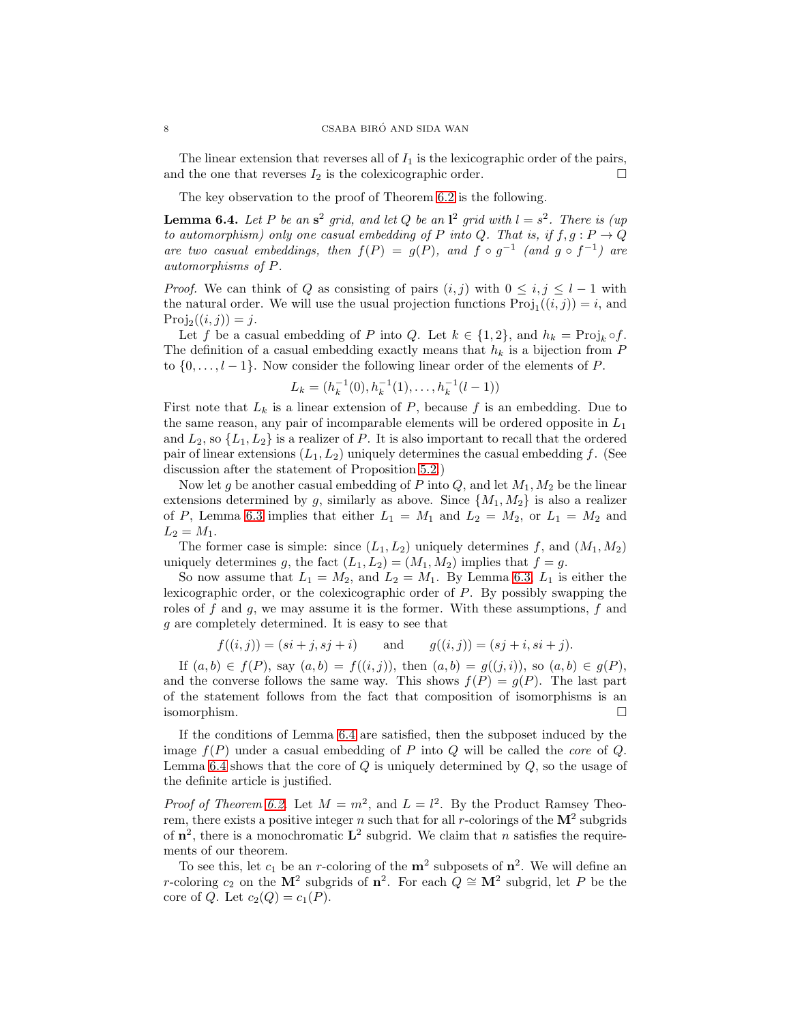The linear extension that reverses all of  $I_1$  is the lexicographic order of the pairs, and the one that reverses  $I_2$  is the colexicographic order.  $\Box$ 

The key observation to the proof of Theorem [6.2](#page-6-1) is the following.

<span id="page-7-0"></span>**Lemma 6.4.** Let P be an  $s^2$  grid, and let Q be an  $l^2$  grid with  $l = s^2$ . There is (up to automorphism) only one casual embedding of P into Q. That is, if  $f, g : P \to Q$ are two casual embeddings, then  $f(P) = g(P)$ , and  $f \circ g^{-1}$  (and  $g \circ f^{-1}$ ) are automorphisms of P.

*Proof.* We can think of Q as consisting of pairs  $(i, j)$  with  $0 \leq i, j \leq l - 1$  with the natural order. We will use the usual projection functions  $\text{Proj}_1((i,j)) = i$ , and  $Proj_2((i, j)) = j.$ 

Let f be a casual embedding of P into Q. Let  $k \in \{1,2\}$ , and  $h_k = \text{Proj}_k \circ f$ . The definition of a casual embedding exactly means that  $h_k$  is a bijection from  $P$ to  $\{0, \ldots, l-1\}$ . Now consider the following linear order of the elements of P.

$$
L_k = (h_k^{-1}(0), h_k^{-1}(1), \dots, h_k^{-1}(l-1))
$$

First note that  $L_k$  is a linear extension of P, because f is an embedding. Due to the same reason, any pair of incomparable elements will be ordered opposite in  $L_1$ and  $L_2$ , so  $\{L_1, L_2\}$  is a realizer of P. It is also important to recall that the ordered pair of linear extensions  $(L_1, L_2)$  uniquely determines the casual embedding f. (See discussion after the statement of Proposition [5.2.](#page-5-0))

Now let g be another casual embedding of P into  $Q$ , and let  $M_1, M_2$  be the linear extensions determined by g, similarly as above. Since  $\{M_1, M_2\}$  is also a realizer of P, Lemma [6.3](#page-6-2) implies that either  $L_1 = M_1$  and  $L_2 = M_2$ , or  $L_1 = M_2$  and  $L_2 = M_1.$ 

The former case is simple: since  $(L_1, L_2)$  uniquely determines f, and  $(M_1, M_2)$ uniquely determines g, the fact  $(L_1, L_2) = (M_1, M_2)$  implies that  $f = g$ .

So now assume that  $L_1 = M_2$ , and  $L_2 = M_1$ . By Lemma [6.3,](#page-6-2)  $L_1$  is either the lexicographic order, or the colexicographic order of P. By possibly swapping the roles of  $f$  and  $g$ , we may assume it is the former. With these assumptions,  $f$  and g are completely determined. It is easy to see that

$$
f((i, j)) = (si + j, sj + i)
$$
 and  $g((i, j)) = (sj + i, si + j).$ 

If  $(a, b) \in f(P)$ , say  $(a, b) = f((i, j))$ , then  $(a, b) = g((j, i))$ , so  $(a, b) \in g(P)$ , and the converse follows the same way. This shows  $f(P) = g(P)$ . The last part of the statement follows from the fact that composition of isomorphisms is an isomorphism.

If the conditions of Lemma [6.4](#page-7-0) are satisfied, then the subposet induced by the image  $f(P)$  under a casual embedding of P into Q will be called the *core* of Q. Lemma [6.4](#page-7-0) shows that the core of  $Q$  is uniquely determined by  $Q$ , so the usage of the definite article is justified.

*Proof of Theorem [6.2.](#page-6-1)* Let  $M = m^2$ , and  $L = l^2$ . By the Product Ramsey Theorem, there exists a positive integer n such that for all r-colorings of the  $M^2$  subgrids of  $n^2$ , there is a monochromatic  $L^2$  subgrid. We claim that n satisfies the requirements of our theorem.

To see this, let  $c_1$  be an r-coloring of the  $m^2$  subposets of  $n^2$ . We will define an r-coloring  $c_2$  on the M<sup>2</sup> subgrids of  $\mathbf{n}^2$ . For each  $Q \cong \mathbf{M}^2$  subgrid, let P be the core of Q. Let  $c_2(Q) = c_1(P)$ .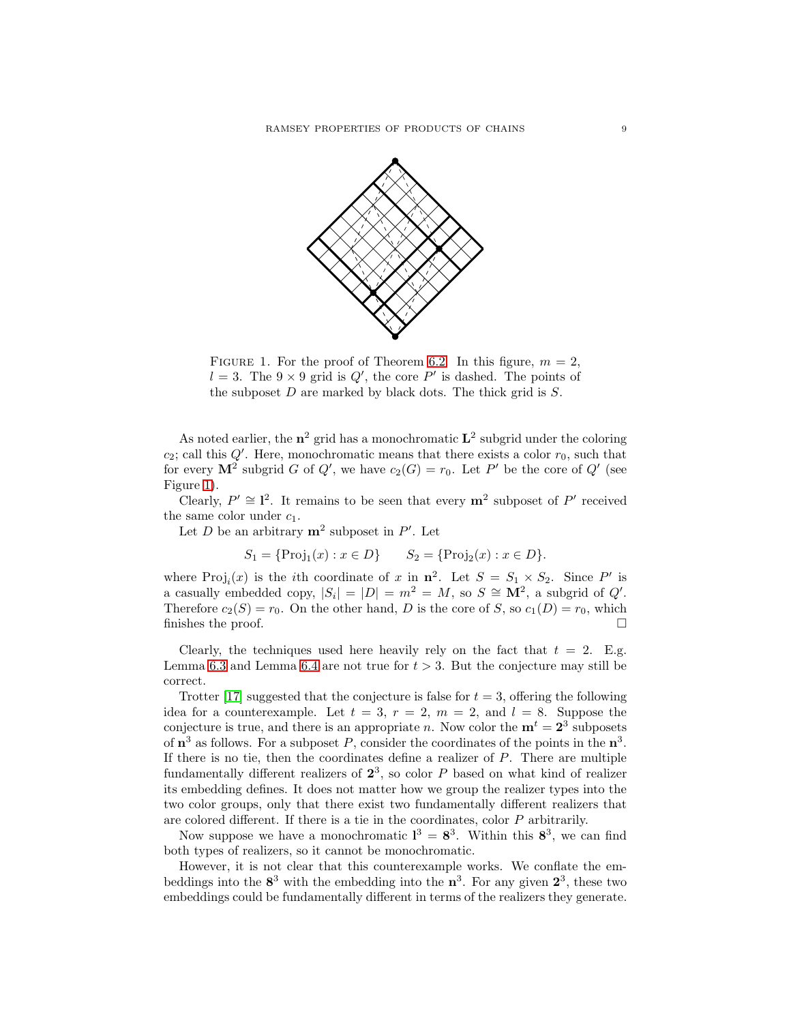

<span id="page-8-0"></span>FIGURE 1. For the proof of Theorem [6.2.](#page-6-1) In this figure,  $m = 2$ ,  $l = 3$ . The  $9 \times 9$  grid is  $Q'$ , the core P' is dashed. The points of the subposet  $D$  are marked by black dots. The thick grid is  $S$ .

As noted earlier, the  $n^2$  grid has a monochromatic  $L^2$  subgrid under the coloring  $c_2$ ; call this  $Q'$ . Here, monochromatic means that there exists a color  $r_0$ , such that for every  $\mathbf{M}^2$  subgrid G of Q', we have  $c_2(G) = r_0$ . Let P' be the core of Q' (see Figure [1\)](#page-8-0).

Clearly,  $P' \cong I^2$ . It remains to be seen that every  $m^2$  subposet of P' received the same color under  $c_1$ .

Let D be an arbitrary  $m^2$  subposet in P'. Let

$$
S_1 = \{ \text{Proj}_1(x) : x \in D \} \qquad S_2 = \{ \text{Proj}_2(x) : x \in D \}.
$$

where Proj<sub>i</sub> $(x)$  is the *i*th coordinate of x in  $\mathbf{n}^2$ . Let  $S = S_1 \times S_2$ . Since P' is a casually embedded copy,  $|S_i| = |D| = m^2 = M$ , so  $S \cong M^2$ , a subgrid of  $Q'$ . Therefore  $c_2(S) = r_0$ . On the other hand, D is the core of S, so  $c_1(D) = r_0$ , which finishes the proof.  $\Box$ 

Clearly, the techniques used here heavily rely on the fact that  $t = 2$ . E.g. Lemma [6.3](#page-6-2) and Lemma [6.4](#page-7-0) are not true for  $t > 3$ . But the conjecture may still be correct.

Trotter [\[17\]](#page-12-15) suggested that the conjecture is false for  $t = 3$ , offering the following idea for a counterexample. Let  $t = 3$ ,  $r = 2$ ,  $m = 2$ , and  $l = 8$ . Suppose the conjecture is true, and there is an appropriate n. Now color the  $\mathbf{m}^t = 2^3$  subposets of  $\mathbf{n}^3$  as follows. For a subposet P, consider the coordinates of the points in the  $\mathbf{n}^3$ . If there is no tie, then the coordinates define a realizer of P. There are multiple fundamentally different realizers of  $2^3$ , so color P based on what kind of realizer its embedding defines. It does not matter how we group the realizer types into the two color groups, only that there exist two fundamentally different realizers that are colored different. If there is a tie in the coordinates, color P arbitrarily.

Now suppose we have a monochromatic  $l^3 = 8^3$ . Within this  $8^3$ , we can find both types of realizers, so it cannot be monochromatic.

However, it is not clear that this counterexample works. We conflate the embeddings into the  $8^3$  with the embedding into the  $n^3$ . For any given  $2^3$ , these two embeddings could be fundamentally different in terms of the realizers they generate.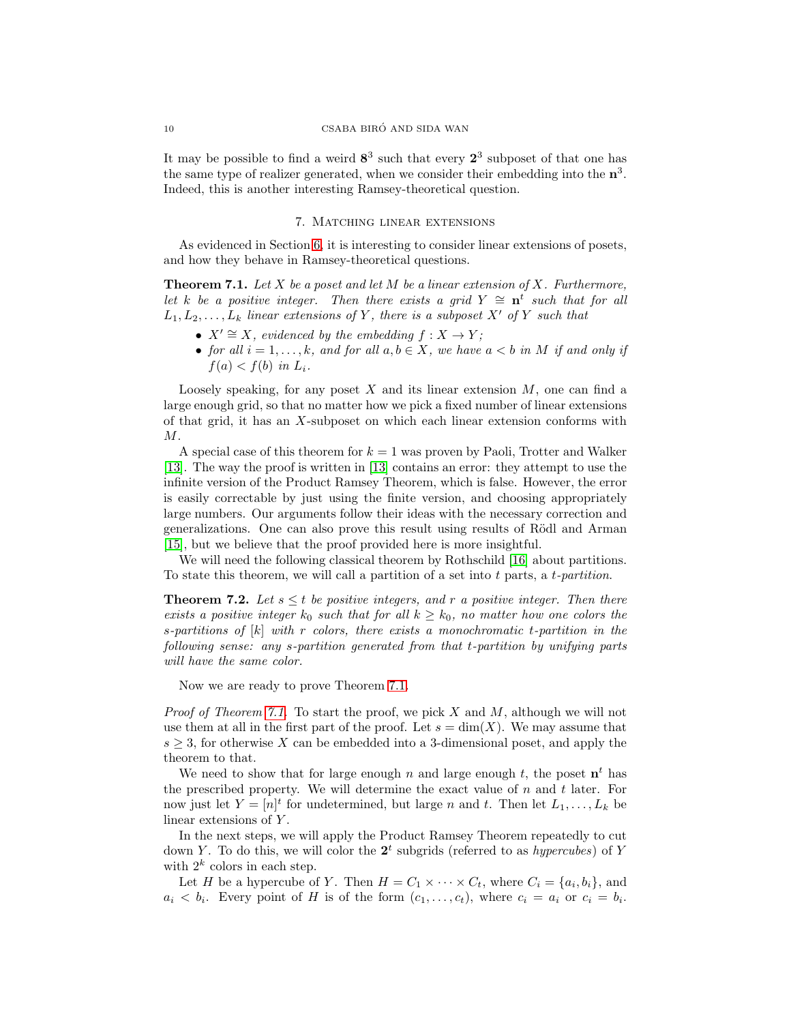It may be possible to find a weird  $8^3$  such that every  $2^3$  subposet of that one has the same type of realizer generated, when we consider their embedding into the  $n^3$ . Indeed, this is another interesting Ramsey-theoretical question.

## 7. Matching linear extensions

<span id="page-9-0"></span>As evidenced in Section [6,](#page-6-0) it is interesting to consider linear extensions of posets, and how they behave in Ramsey-theoretical questions.

<span id="page-9-1"></span>**Theorem 7.1.** Let  $X$  be a poset and let  $M$  be a linear extension of  $X$ . Furthermore, let k be a positive integer. Then there exists a grid  $Y \cong n^t$  such that for all  $L_1, L_2, \ldots, L_k$  linear extensions of Y, there is a subposet X' of Y such that

- $X' \cong X$ , evidenced by the embedding  $f : X \to Y$ ;
- for all  $i = 1, \ldots, k$ , and for all  $a, b \in X$ , we have  $a < b$  in M if and only if  $f(a) < f(b)$  in  $L_i$ .

Loosely speaking, for any poset  $X$  and its linear extension  $M$ , one can find a large enough grid, so that no matter how we pick a fixed number of linear extensions of that grid, it has an X-subposet on which each linear extension conforms with M.

A special case of this theorem for  $k = 1$  was proven by Paoli, Trotter and Walker [\[13\]](#page-12-3). The way the proof is written in [\[13\]](#page-12-3) contains an error: they attempt to use the infinite version of the Product Ramsey Theorem, which is false. However, the error is easily correctable by just using the finite version, and choosing appropriately large numbers. Our arguments follow their ideas with the necessary correction and generalizations. One can also prove this result using results of Rödl and Arman [\[15\]](#page-12-16), but we believe that the proof provided here is more insightful.

We will need the following classical theorem by Rothschild [\[16\]](#page-12-17) about partitions. To state this theorem, we will call a partition of a set into  $t$  parts, a  $t$ -partition.

<span id="page-9-2"></span>**Theorem 7.2.** Let  $s \leq t$  be positive integers, and r a positive integer. Then there exists a positive integer  $k_0$  such that for all  $k \geq k_0$ , no matter how one colors the s-partitions of  $[k]$  with r colors, there exists a monochromatic t-partition in the following sense: any s-partition generated from that t-partition by unifying parts will have the same color.

Now we are ready to prove Theorem [7.1.](#page-9-1)

*Proof of Theorem [7.1.](#page-9-1)* To start the proof, we pick X and M, although we will not use them at all in the first part of the proof. Let  $s = \dim(X)$ . We may assume that  $s \geq 3$ , for otherwise X can be embedded into a 3-dimensional poset, and apply the theorem to that.

We need to show that for large enough n and large enough t, the poset  $\mathbf{n}^t$  has the prescribed property. We will determine the exact value of  $n$  and  $t$  later. For now just let  $Y = [n]^t$  for undetermined, but large n and t. Then let  $L_1, \ldots, L_k$  be linear extensions of Y.

In the next steps, we will apply the Product Ramsey Theorem repeatedly to cut down Y. To do this, we will color the  $2<sup>t</sup>$  subgrids (referred to as *hypercubes*) of Y with  $2^k$  colors in each step.

Let H be a hypercube of Y. Then  $H = C_1 \times \cdots \times C_t$ , where  $C_i = \{a_i, b_i\}$ , and  $a_i < b_i$ . Every point of H is of the form  $(c_1, \ldots, c_t)$ , where  $c_i = a_i$  or  $c_i = b_i$ .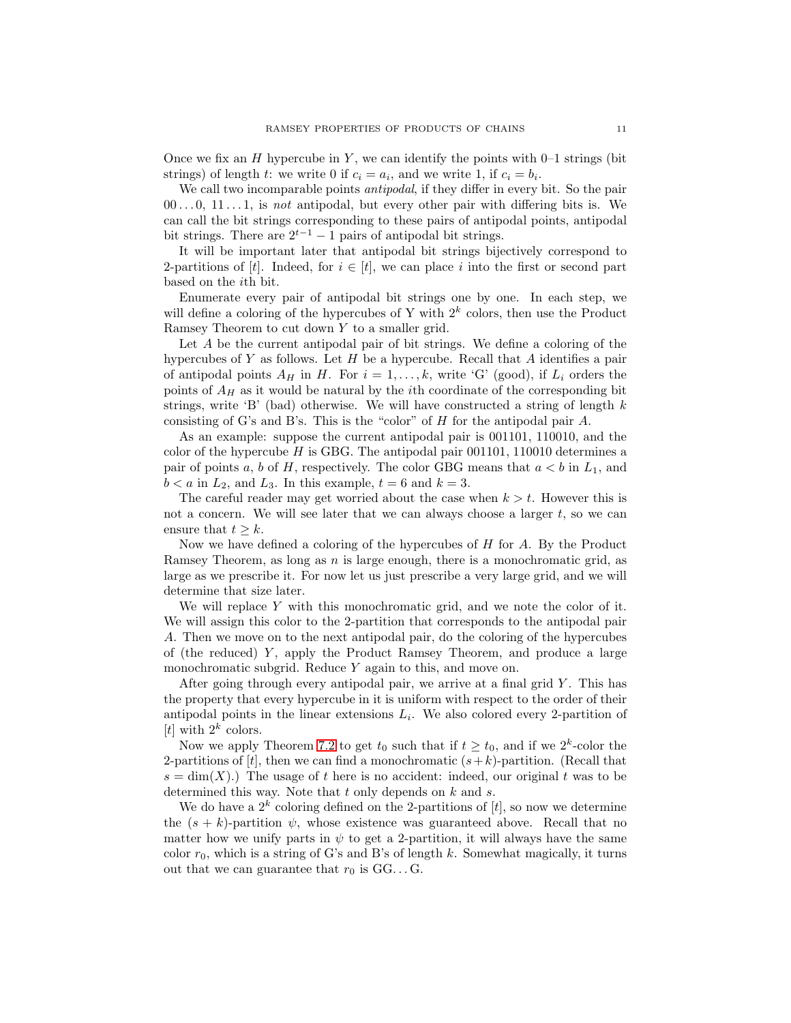Once we fix an H hypercube in Y, we can identify the points with  $0-1$  strings (bit strings) of length t: we write 0 if  $c_i = a_i$ , and we write 1, if  $c_i = b_i$ .

We call two incomparable points *antipodal*, if they differ in every bit. So the pair  $00...0, 11...1$ , is not antipodal, but every other pair with differing bits is. We can call the bit strings corresponding to these pairs of antipodal points, antipodal bit strings. There are  $2^{t-1} - 1$  pairs of antipodal bit strings.

It will be important later that antipodal bit strings bijectively correspond to 2-partitions of [t]. Indeed, for  $i \in [t]$ , we can place i into the first or second part based on the ith bit.

Enumerate every pair of antipodal bit strings one by one. In each step, we will define a coloring of the hypercubes of Y with  $2<sup>k</sup>$  colors, then use the Product Ramsey Theorem to cut down Y to a smaller grid.

Let A be the current antipodal pair of bit strings. We define a coloring of the hypercubes of Y as follows. Let  $H$  be a hypercube. Recall that  $A$  identifies a pair of antipodal points  $A_H$  in H. For  $i = 1, \ldots, k$ , write 'G' (good), if  $L_i$  orders the points of  $A_H$  as it would be natural by the *i*th coordinate of the corresponding bit strings, write 'B' (bad) otherwise. We will have constructed a string of length  $k$ consisting of G's and B's. This is the "color" of H for the antipodal pair A.

As an example: suppose the current antipodal pair is 001101, 110010, and the color of the hypercube  $H$  is GBG. The antipodal pair 001101, 110010 determines a pair of points a, b of H, respectively. The color GBG means that  $a < b$  in  $L_1$ , and  $b < a$  in  $L_2$ , and  $L_3$ . In this example,  $t = 6$  and  $k = 3$ .

The careful reader may get worried about the case when  $k > t$ . However this is not a concern. We will see later that we can always choose a larger  $t$ , so we can ensure that  $t \geq k$ .

Now we have defined a coloring of the hypercubes of  $H$  for  $A$ . By the Product Ramsey Theorem, as long as  $n$  is large enough, there is a monochromatic grid, as large as we prescribe it. For now let us just prescribe a very large grid, and we will determine that size later.

We will replace Y with this monochromatic grid, and we note the color of it. We will assign this color to the 2-partition that corresponds to the antipodal pair A. Then we move on to the next antipodal pair, do the coloring of the hypercubes of (the reduced)  $Y$ , apply the Product Ramsey Theorem, and produce a large monochromatic subgrid. Reduce Y again to this, and move on.

After going through every antipodal pair, we arrive at a final grid  $Y$ . This has the property that every hypercube in it is uniform with respect to the order of their antipodal points in the linear extensions  $L_i$ . We also colored every 2-partition of [t] with  $2^k$  colors.

Now we apply Theorem [7.2](#page-9-2) to get  $t_0$  such that if  $t \geq t_0$ , and if we  $2^k$ -color the 2-partitions of  $[t]$ , then we can find a monochromatic  $(s+k)$ -partition. (Recall that  $s = \dim(X)$ .) The usage of t here is no accident: indeed, our original t was to be determined this way. Note that  $t$  only depends on  $k$  and  $s$ .

We do have a  $2^k$  coloring defined on the 2-partitions of  $[t]$ , so now we determine the  $(s + k)$ -partition  $\psi$ , whose existence was guaranteed above. Recall that no matter how we unify parts in  $\psi$  to get a 2-partition, it will always have the same color  $r_0$ , which is a string of G's and B's of length k. Somewhat magically, it turns out that we can guarantee that  $r_0$  is  $GG \dots G$ .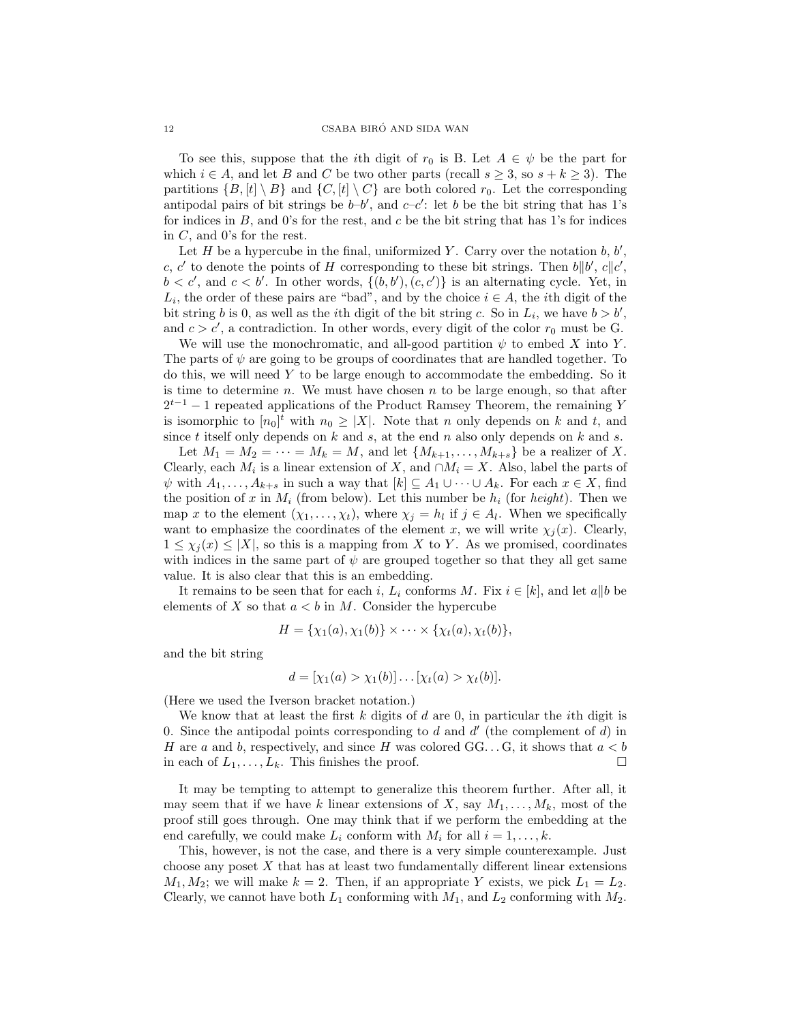To see this, suppose that the *i*th digit of  $r_0$  is B. Let  $A \in \psi$  be the part for which  $i \in A$ , and let B and C be two other parts (recall  $s \geq 3$ , so  $s + k \geq 3$ ). The partitions  $\{B, [t] \setminus B\}$  and  $\{C, [t] \setminus C\}$  are both colored  $r_0$ . Let the corresponding antipodal pairs of bit strings be  $b-b'$ , and  $c-c'$ : let b be the bit string that has 1's for indices in  $B$ , and 0's for the rest, and  $c$  be the bit string that has 1's for indices in C, and 0's for the rest.

Let  $H$  be a hypercube in the final, uniformized Y. Carry over the notation  $b, b',$ c, c' to denote the points of H corresponding to these bit strings. Then  $b||b', c||c',$  $b < c'$ , and  $c < b'$ . In other words,  $\{(b, b'), (c, c')\}$  is an alternating cycle. Yet, in  $L_i$ , the order of these pairs are "bad", and by the choice  $i \in A$ , the *i*th digit of the bit string b is 0, as well as the *i*th digit of the bit string c. So in  $L_i$ , we have  $b > b'$ , and  $c > c'$ , a contradiction. In other words, every digit of the color  $r_0$  must be G.

We will use the monochromatic, and all-good partition  $\psi$  to embed X into Y. The parts of  $\psi$  are going to be groups of coordinates that are handled together. To do this, we will need  $Y$  to be large enough to accommodate the embedding. So it is time to determine  $n$ . We must have chosen  $n$  to be large enough, so that after  $2^{t-1} - 1$  repeated applications of the Product Ramsey Theorem, the remaining Y is isomorphic to  $[n_0]^t$  with  $n_0 \geq |X|$ . Note that n only depends on k and t, and since  $t$  itself only depends on  $k$  and  $s$ , at the end  $n$  also only depends on  $k$  and  $s$ .

Let  $M_1 = M_2 = \cdots = M_k = M$ , and let  $\{M_{k+1}, \ldots, M_{k+s}\}\)$  be a realizer of X. Clearly, each  $M_i$  is a linear extension of X, and  $\cap M_i = X$ . Also, label the parts of  $\psi$  with  $A_1, \ldots, A_{k+s}$  in such a way that  $[k] \subseteq A_1 \cup \cdots \cup A_k$ . For each  $x \in X$ , find the position of x in  $M_i$  (from below). Let this number be  $h_i$  (for *height*). Then we map x to the element  $(\chi_1, \ldots, \chi_t)$ , where  $\chi_j = h_l$  if  $j \in A_l$ . When we specifically want to emphasize the coordinates of the element x, we will write  $\chi_j(x)$ . Clearly,  $1 \leq \chi_i(x) \leq |X|$ , so this is a mapping from X to Y. As we promised, coordinates with indices in the same part of  $\psi$  are grouped together so that they all get same value. It is also clear that this is an embedding.

It remains to be seen that for each i,  $L_i$  conforms M. Fix  $i \in [k]$ , and let a||b be elements of X so that  $a < b$  in M. Consider the hypercube

$$
H = {\chi_1(a), \chi_1(b)} \times \cdots \times {\chi_t(a), \chi_t(b)},
$$

and the bit string

$$
d = [\chi_1(a) > \chi_1(b)] \dots [\chi_t(a) > \chi_t(b)].
$$

(Here we used the Iverson bracket notation.)

We know that at least the first  $k$  digits of  $d$  are 0, in particular the *i*th digit is 0. Since the antipodal points corresponding to d and  $d'$  (the complement of  $d$ ) in H are a and b, respectively, and since H was colored  $GG...G$ , it shows that  $a < b$ in each of  $L_1, \ldots, L_k$ . This finishes the proof.

It may be tempting to attempt to generalize this theorem further. After all, it may seem that if we have k linear extensions of X, say  $M_1, \ldots, M_k$ , most of the proof still goes through. One may think that if we perform the embedding at the end carefully, we could make  $L_i$  conform with  $M_i$  for all  $i = 1, \ldots, k$ .

This, however, is not the case, and there is a very simple counterexample. Just choose any poset  $X$  that has at least two fundamentally different linear extensions  $M_1, M_2$ ; we will make  $k = 2$ . Then, if an appropriate Y exists, we pick  $L_1 = L_2$ . Clearly, we cannot have both  $L_1$  conforming with  $M_1$ , and  $L_2$  conforming with  $M_2$ .